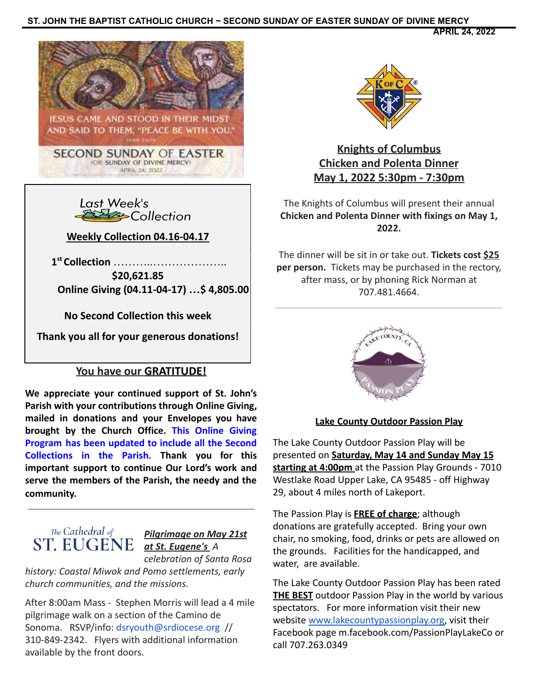## **ST. JOHN THE BAPTIST CATHOLIC CHURCH ~ SECOND SUNDAY OF EASTER SUNDAY OF DIVINE MERCY**

**APRIL 24, 2022**





**Weekly Collection 04.16-04.17**

**1 st Collection** ………..………………..

**\$20,621.85 Online Giving (04.11-04-17) …\$ 4,805.00**

**No Second Collection this week**

**Thank you all for your generous donations!**

## **You have our GRATITUDE!**

**We appreciate your continued support of St. John's Parish with your contributions through Online Giving, mailed in donations and your Envelopes you have brought by the Church Office. This Online Giving Program has been updated to include all the Second Collections in the Parish. Thank you for this important support to continue Our Lord's work and serve the members of the Parish, the needy and the community.**



## *Pilgrimage on May 21st at St. Eugene's A*

*celebration of Santa Rosa history: Coastal Miwok and Pomo settlements, early church communities, and the missions.*

After 8:00am Mass - Stephen Morris will lead a 4 mile pilgrimage walk on a section of the Camino de Sonoma. RSVP/info: dsryouth@srdiocese.org // 310-849-2342. Flyers with additional information available by the front doors.



**Knights of Columbus Chicken and Polenta Dinner May 1, 2022 5:30pm - 7:30pm**

The Knights of Columbus will present their annual **Chicken and Polenta Dinner with fixings on May 1, 2022.**

The dinner will be sit in or take out. **Tickets cost \$25 per person.** Tickets may be purchased in the rectory, after mass, or by phoning Rick Norman at 707.481.4664.



## **Lake County Outdoor Passion Play**

The Lake County Outdoor Passion Play will be presented on **Saturday, May 14 and Sunday May 15 starting at 4:00pm** at the Passion Play Grounds - 7010 Westlake Road Upper Lake, CA 95485 - off Highway 29, about 4 miles north of Lakeport.

The Passion Play is **FREE of charge**; although donations are gratefully accepted. Bring your own chair, no smoking, food, drinks or pets are allowed on the grounds. Facilities for the handicapped, and water, are available.

The Lake County Outdoor Passion Play has been rated **THE BEST** outdoor Passion Play in the world by various spectators. For more information visit their new website [www.lakecountypassionplay.org,](http://www.lakecountypassionplay.org) visit their Facebook page m.facebook.com/PassionPlayLakeCo or call 707.263.0349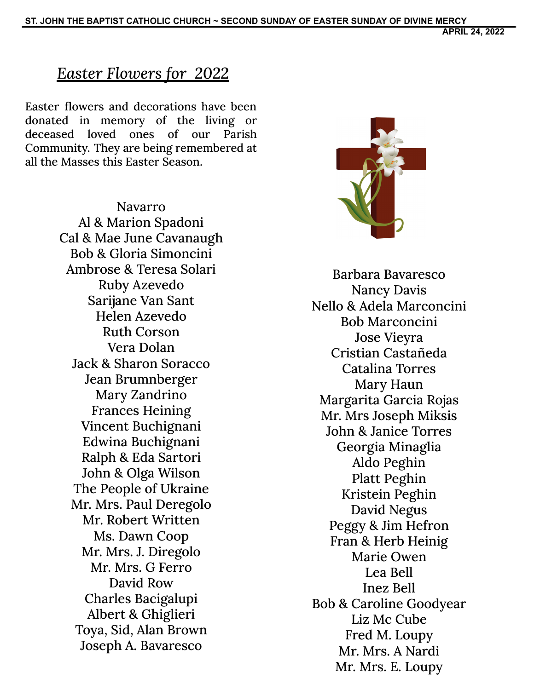**APRIL 24, 2022**

# *Easter Flowers for 2022*

Easter flowers and decorations have been donated in memory of the living or deceased loved ones of our Parish Community. They are being remembered at all the Masses this Easter Season.

> Navarro Al & Marion Spadoni Cal & Mae June Cavanaugh Bob & Gloria Simoncini Ambrose & Teresa Solari Ruby Azevedo Sarijane Van Sant Helen Azevedo Ruth Corson Vera Dolan Jack & Sharon Soracco Jean Brumnberger Mary Zandrino Frances Heining Vincent Buchignani Edwina Buchignani Ralph & Eda Sartori John & Olga Wilson The People of Ukraine Mr. Mrs. Paul Deregolo Mr. Robert Written Ms. Dawn Coop Mr. Mrs. J. Diregolo Mr. Mrs. G Ferro David Row Charles Bacigalupi Albert & Ghiglieri Toya, Sid, Alan Brown Joseph A. Bavaresco



Barbara Bavaresco Nancy Davis Nello & Adela Marconcini Bob Marconcini Jose Vieyra Cristian Castañeda Catalina Torres Mary Haun Margarita Garcia Rojas Mr. Mrs Joseph Miksis John & Janice Torres Georgia Minaglia Aldo Peghin Platt Peghin Kristein Peghin David Negus Peggy & Jim Hefron Fran & Herb Heinig Marie Owen Lea Bell Inez Bell Bob & Caroline Goodyear Liz Mc Cube Fred M. Loupy Mr. Mrs. A Nardi Mr. Mrs. E. Loupy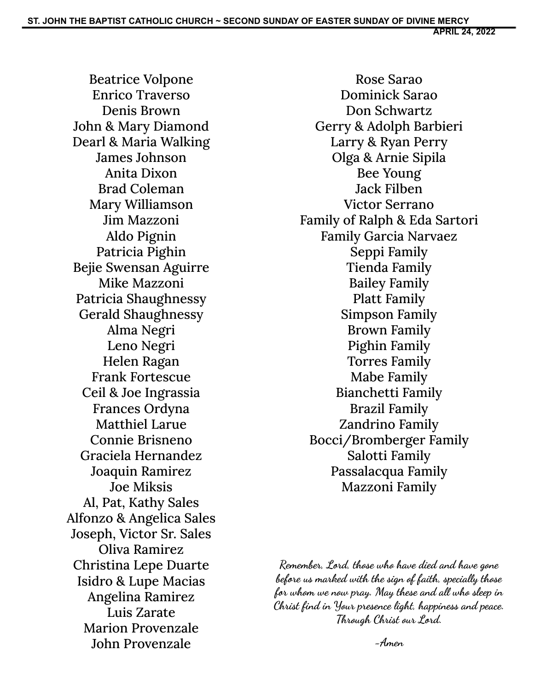Beatrice Volpone Enrico Traverso Denis Brown John & Mary Diamond Dearl & Maria Walking James Johnson Anita Dixon Brad Coleman Mary Williamson Jim Mazzoni Aldo Pignin Patricia Pighin Bejie Swensan Aguirre Mike Mazzoni Patricia Shaughnessy Gerald Shaughnessy Alma Negri Leno Negri Helen Ragan Frank Fortescue Ceil & Joe Ingrassia Frances Ordyna Matthiel Larue Connie Brisneno Graciela Hernandez Joaquin Ramirez Joe Miksis Al, Pat, Kathy Sales Alfonzo & Angelica Sales Joseph, Victor Sr. Sales Oliva Ramirez Christina Lepe Duarte Isidro & Lupe Macias Angelina Ramirez Luis Zarate Marion Provenzale John Provenzale

Rose Sarao Dominick Sarao Don Schwartz Gerry & Adolph Barbieri Larry & Ryan Perry Olga & Arnie Sipila Bee Young Jack Filben Victor Serrano Family of Ralph & Eda Sartori Family Garcia Narvaez Seppi Family Tienda Family Bailey Family Platt Family Simpson Family Brown Family Pighin Family Torres Family Mabe Family Bianchetti Family Brazil Family Zandrino Family Bocci/Bromberger Family Salotti Family Passalacqua Family Mazzoni Family

**Remember, Lord, those who have died and have gone before us marked with the sign of faith, specially those for whom we now pray. May these and all who sleep in Christ find in Your presence light, happiness and peace. Through Christ our Lord.**